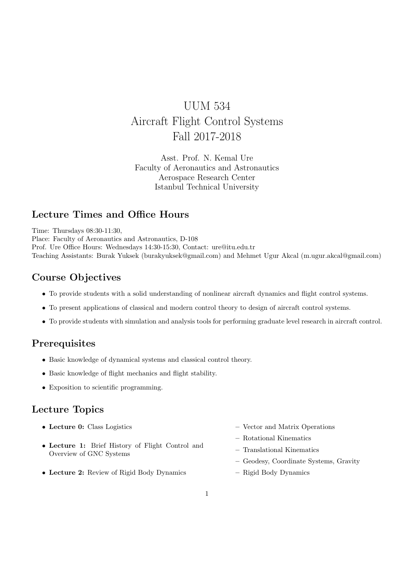# UUM 534 Aircraft Flight Control Systems Fall 2017-2018

Asst. Prof. N. Kemal Ure Faculty of Aeronautics and Astronautics Aerospace Research Center Istanbul Technical University

# Lecture Times and Office Hours

Time: Thursdays 08:30-11:30, Place: Faculty of Aeronautics and Astronautics, D-108 Prof. Ure Office Hours: Wednesdays 14:30-15:30, Contact: ure@itu.edu.tr Teaching Assistants: Burak Yuksek (burakyuksek@gmail.com) and Mehmet Ugur Akcal (m.ugur.akcal@gmail.com)

## Course Objectives

- To provide students with a solid understanding of nonlinear aircraft dynamics and flight control systems.
- To present applications of classical and modern control theory to design of aircraft control systems.
- To provide students with simulation and analysis tools for performing graduate level research in aircraft control.

#### **Prerequisites**

- Basic knowledge of dynamical systems and classical control theory.
- Basic knowledge of flight mechanics and flight stability.
- Exposition to scientific programming.

#### Lecture Topics

- Lecture 0: Class Logistics
- Lecture 1: Brief History of Flight Control and Overview of GNC Systems
- Lecture 2: Review of Rigid Body Dynamics
- Vector and Matrix Operations
- Rotational Kinematics
- Translational Kinematics
- Geodesy, Coordinate Systems, Gravity
- Rigid Body Dynamics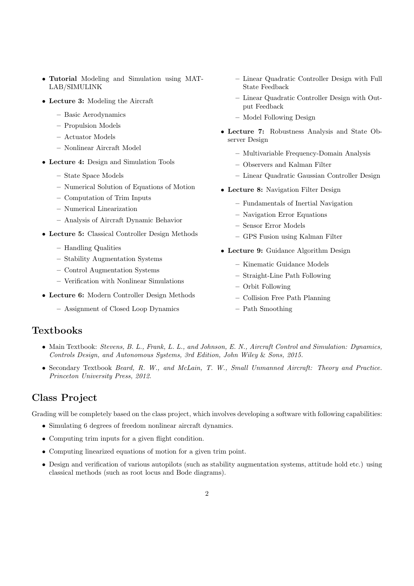- Tutorial Modeling and Simulation using MAT-LAB/SIMULINK
- Lecture 3: Modeling the Aircraft
	- Basic Aerodynamics
	- Propulsion Models
	- Actuator Models
	- Nonlinear Aircraft Model
- Lecture 4: Design and Simulation Tools
	- State Space Models
	- Numerical Solution of Equations of Motion
	- Computation of Trim Inputs
	- Numerical Linearization
	- Analysis of Aircraft Dynamic Behavior
- Lecture 5: Classical Controller Design Methods
	- Handling Qualities
	- Stability Augmentation Systems
	- Control Augmentation Systems
	- Verification with Nonlinear Simulations
- Lecture 6: Modern Controller Design Methods
	- Assignment of Closed Loop Dynamics
- Linear Quadratic Controller Design with Full State Feedback
- Linear Quadratic Controller Design with Output Feedback
- Model Following Design
- Lecture 7: Robustness Analysis and State Observer Design
	- Multivariable Frequency-Domain Analysis
	- Observers and Kalman Filter
	- Linear Quadratic Gaussian Controller Design
- Lecture 8: Navigation Filter Design
	- Fundamentals of Inertial Navigation
	- Navigation Error Equations
	- Sensor Error Models
	- GPS Fusion using Kalman Filter
- Lecture 9: Guidance Algorithm Design
	- Kinematic Guidance Models
	- Straight-Line Path Following
	- Orbit Following
	- Collision Free Path Planning
	- Path Smoothing

## **Textbooks**

- Main Textbook: Stevens, B. L., Frank, L. L., and Johnson, E. N., Aircraft Control and Simulation: Dynamics, Controls Design, and Autonomous Systems, 3rd Edition, John Wiley & Sons, 2015.
- Secondary Textbook Beard, R. W., and McLain, T. W., Small Unmanned Aircraft: Theory and Practice. Princeton University Press, 2012.

## Class Project

Grading will be completely based on the class project, which involves developing a software with following capabilities:

- Simulating 6 degrees of freedom nonlinear aircraft dynamics.
- Computing trim inputs for a given flight condition.
- Computing linearized equations of motion for a given trim point.
- Design and verification of various autopilots (such as stability augmentation systems, attitude hold etc.) using classical methods (such as root locus and Bode diagrams).